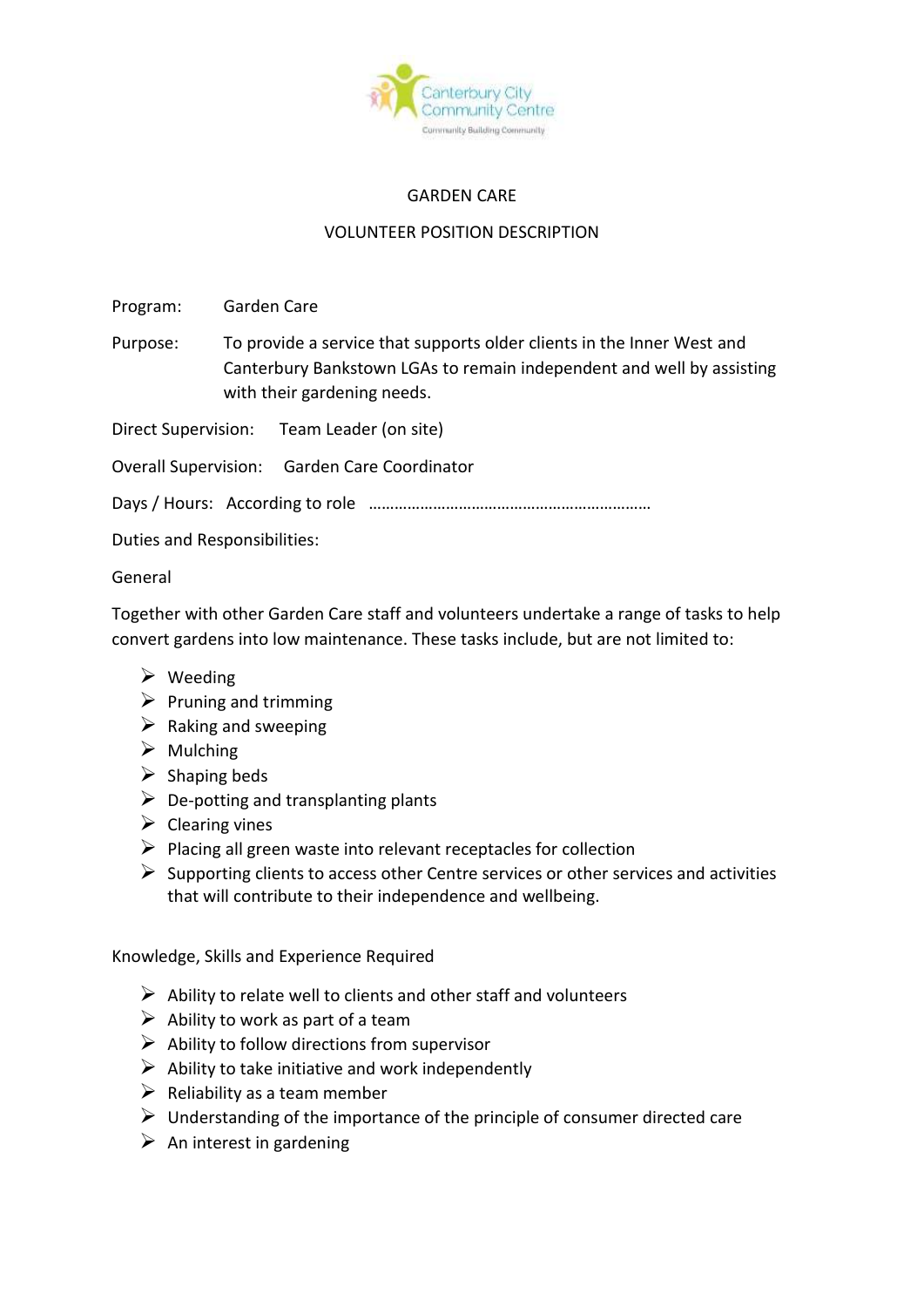

## GARDEN CARE

## VOLUNTEER POSITION DESCRIPTION

Program: Garden Care

Purpose: To provide a service that supports older clients in the Inner West and Canterbury Bankstown LGAs to remain independent and well by assisting with their gardening needs.

Direct Supervision: Team Leader (on site)

Overall Supervision: Garden Care Coordinator

Days / Hours: According to role …………………………………………………………

Duties and Responsibilities:

## General

Together with other Garden Care staff and volunteers undertake a range of tasks to help convert gardens into low maintenance. These tasks include, but are not limited to:

- ➢ Weeding
- $\triangleright$  Pruning and trimming
- $\triangleright$  Raking and sweeping
- $\triangleright$  Mulching
- $\triangleright$  Shaping beds
- $\triangleright$  De-potting and transplanting plants
- $\triangleright$  Clearing vines
- $\triangleright$  Placing all green waste into relevant receptacles for collection
- $\triangleright$  Supporting clients to access other Centre services or other services and activities that will contribute to their independence and wellbeing.

Knowledge, Skills and Experience Required

- $\triangleright$  Ability to relate well to clients and other staff and volunteers
- $\triangleright$  Ability to work as part of a team
- $\triangleright$  Ability to follow directions from supervisor
- $\triangleright$  Ability to take initiative and work independently
- $\triangleright$  Reliability as a team member
- $\triangleright$  Understanding of the importance of the principle of consumer directed care
- $\triangleright$  An interest in gardening